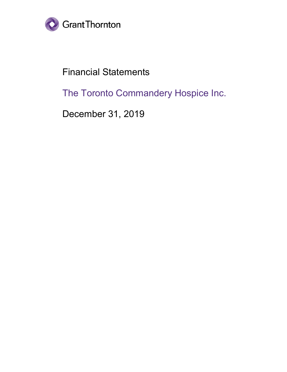

# Financial Statements

The Toronto Commandery Hospice Inc.

December 31, 2019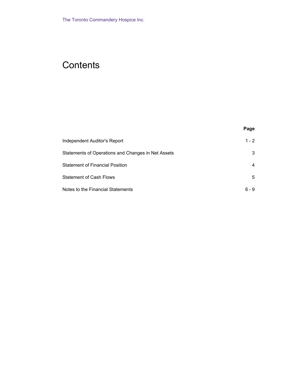## **Contents**

|  | . .<br>× | ×<br>۹ |
|--|----------|--------|
|  |          |        |

| Independent Auditor's Report                       | $1 - 2$ |
|----------------------------------------------------|---------|
| Statements of Operations and Changes in Net Assets | 3       |
| <b>Statement of Financial Position</b>             | 4       |
| <b>Statement of Cash Flows</b>                     | 5       |
| Notes to the Financial Statements                  | ճ - 9   |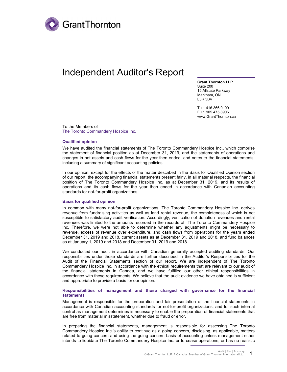

## Independent Auditor's Report

**Grant Thornton LLP** Suite 200 15 Allstate Parkway Markham, ON L3R 5B4

T +1 416 366 0100 F +1 905 475 8906 www.GrantThornton.ca

To the Members of The Toronto Commandery Hospice Inc.

#### **Qualified opinion**

We have audited the financial statements of The Toronto Commandery Hospice Inc., which comprise the statement of financial position as at December 31, 2019, and the statements of operations and changes in net assets and cash flows for the year then ended, and notes to the financial statements, including a summary of significant accounting policies.

In our opinion, except for the effects of the matter described in the Basis for Qualified Opinion section of our report, the accompanying financial statements present fairly, in all material respects, the financial position of The Toronto Commandery Hospice Inc. as at December 31, 2019, and its results of operations and its cash flows for the year then ended in accordance with Canadian accounting standards for not-for-profit organizations.

#### **Basis for qualified opinion**

In common with many not-for-profit organizations, The Toronto Commandery Hospice Inc. derives revenue from fundraising activities as well as land rental revenue, the completeness of which is not susceptible to satisfactory audit verification. Accordingly, verification of donation revenues and rental revenues was limited to the amounts recorded in the records of The Toronto Commandery Hospice Inc. Therefore, we were not able to determine whether any adjustments might be necessary to revenue, excess of revenue over expenditure, and cash flows from operations for the years ended December 31, 2019 and 2018, current assets as at December 31, 2019 and 2018, and fund balances as at January 1, 2019 and 2018 and December 31, 2019 and 2018.

We conducted our audit in accordance with Canadian generally accepted auditing standards. Our responsibilities under those standards are further described in the Auditor's Responsibilities for the Audit of the Financial Statements section of our report. We are independent of The Toronto Commandery Hospice Inc. in accordance with the ethical requirements that are relevant to our audit of the financial statements in Canada, and we have fulfilled our other ethical responsibilities in accordance with these requirements. We believe that the audit evidence we have obtained is sufficient and appropriate to provide a basis for our opinion.

#### **Responsibilities of management and those charged with governance for the financial statements**

Management is responsible for the preparation and fair presentation of the financial statements in accordance with Canadian accounting standards for not-for-profit organizations, and for such internal control as management determines is necessary to enable the preparation of financial statements that are free from material misstatement, whether due to fraud or error.

In preparing the financial statements, management is responsible for assessing The Toronto Commandery Hospice Inc.'s ability to continue as a going concern, disclosing, as applicable, matters related to going concern and using the going concern basis of accounting unless management either intends to liquidate The Toronto Commandery Hospice Inc. or to cease operations, or has no realistic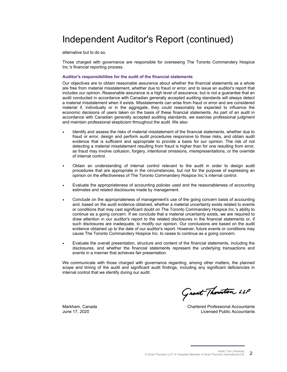# Independent Auditor's Report (continued)

alternative but to do so.

Those charged with governance are responsible for overseeing The Toronto Commandery Hospice Inc.'s financial reporting process.

#### **Auditor's responsibilities for the audit of the financial statements**

Our objectives are to obtain reasonable assurance about whether the financial statements as a whole are free from material misstatement, whether due to fraud or error, and to issue an auditor's report that includes our opinion. Reasonable assurance is a high level of assurance, but is not a guarantee that an audit conducted in accordance with Canadian generally accepted auditing standards will always detect a material misstatement when it exists. Misstatements can arise from fraud or error and are considered material if, individually or in the aggregate, they could reasonably be expected to influence the economic decisions of users taken on the basis of these financial statements. As part of an audit in accordance with Canadian generally accepted auditing standards, we exercise professional judgment and maintain professional skepticism throughout the audit. We also:

- Identify and assess the risks of material misstatement of the financial statements, whether due to fraud or error, design and perform audit procedures responsive to those risks, and obtain audit evidence that is sufficient and appropriate to provide a basis for our opinion. The risk of not detecting a material misstatement resulting from fraud is higher than for one resulting from error, as fraud may involve collusion, forgery, intentional omissions, misrepresentations, or the override of internal control.
- Obtain an understanding of internal control relevant to the audit in order to design audit procedures that are appropriate in the circumstances, but not for the purpose of expressing an opinion on the effectiveness of The Toronto Commandery Hospice Inc.'s internal control.
- Evaluate the appropriateness of accounting policies used and the reasonableness of accounting estimates and related disclosures made by management.
- Conclude on the appropriateness of management's use of the going concern basis of accounting and, based on the audit evidence obtained, whether a material uncertainty exists related to events or conditions that may cast significant doubt on The Toronto Commandery Hospice Inc.'s ability to continue as a going concern. If we conclude that a material uncertainty exists, we are required to draw attention in our auditor's report to the related disclosures in the financial statements or, if such disclosures are inadequate, to modify our opinion. Our conclusions are based on the audit evidence obtained up to the date of our auditor's report. However, future events or conditions may cause The Toronto Commandery Hospice Inc. to cease to continue as a going concern.
- Evaluate the overall presentation, structure and content of the financial statements, including the disclosures, and whether the financial statements represent the underlying transactions and events in a manner that achieves fair presentation.

We communicate with those charged with governance regarding, among other matters, the planned scope and timing of the audit and significant audit findings, including any significant deficiencies in internal control that we identify during our audit.

Grant Thornton LLP

Markham, Canada June 17, 2020

Chartered Professional Accountants Licensed Public Accountants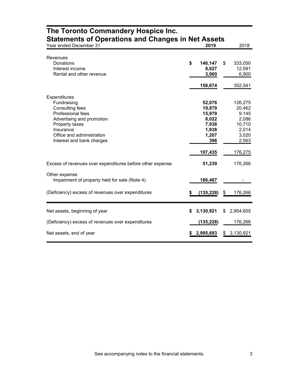| <b>Statements of Operations and Changes in Net Assets</b> |    |            |    |           |
|-----------------------------------------------------------|----|------------|----|-----------|
| Year ended December 31                                    |    | 2019       |    | 2018      |
| Revenues                                                  |    |            |    |           |
| Donations                                                 | \$ | 146,147    | \$ | 333,050   |
| Interest income                                           |    | 8,627      |    | 12,591    |
| Rental and other revenue                                  |    | 3,900      |    | 6,900     |
|                                                           |    |            |    |           |
|                                                           |    | 158,674    |    | 352,541   |
| Expenditures                                              |    |            |    |           |
| Fundraising                                               |    | 52,076     |    | 126,275   |
| Consulting fees                                           |    | 19,879     |    | 20,462    |
| <b>Professional fees</b>                                  |    | 15,979     |    | 9,145     |
| Advertising and promotion                                 |    | 8,022      |    | 2,086     |
| Property taxes                                            |    | 7,938      |    | 10,710    |
| Insurance                                                 |    | 1,938      |    | 2,014     |
| Office and administration                                 |    | 1,207      |    | 3,020     |
| Interest and bank charges                                 |    | 396        |    | 2,563     |
|                                                           |    | 107,435    |    | 176,275   |
| Excess of revenues over expenditures before other expense |    | 51,239     |    | 176,266   |
| Other expense                                             |    |            |    |           |
| Impairment of property held for sale (Note 4)             |    | 186,467    |    |           |
| (Deficiency) excess of revenues over expenditures         | \$ | (135, 228) | \$ | 176,266   |
|                                                           |    |            |    |           |
|                                                           |    |            |    |           |
| Net assets, beginning of year                             | \$ | 3,130,921  | \$ | 2,954,655 |
| (Deficiency) excess of revenues over expenditures         |    | (135,228)  |    | 176,266   |
| Net assets, end of year                                   |    | 2,995,693  | \$ | 3,130,921 |
|                                                           |    |            |    |           |

# **The Toronto Commandery Hospice Inc.**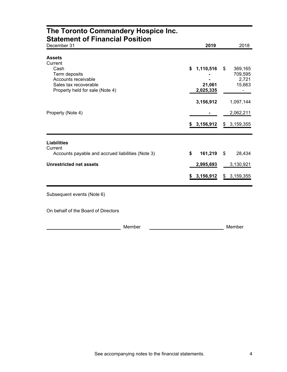| The Toronto Commandery Hospice Inc.<br><b>Statement of Financial Position</b>                            |                                        |                                             |
|----------------------------------------------------------------------------------------------------------|----------------------------------------|---------------------------------------------|
| December 31                                                                                              | 2019                                   | 2018                                        |
| <b>Assets</b><br>Current                                                                                 |                                        |                                             |
| Cash<br>Term deposits<br>Accounts receivable<br>Sales tax recoverable<br>Property held for sale (Note 4) | 1,110,516<br>\$<br>21,061<br>2,025,335 | \$<br>369,165<br>709,595<br>2,721<br>15,663 |
|                                                                                                          | 3,156,912                              | 1,097,144                                   |
| Property (Note 4)                                                                                        |                                        | 2,062,211                                   |
|                                                                                                          | \$3,156,912                            | \$3,159,355                                 |
| <b>Liabilities</b><br>Current                                                                            |                                        |                                             |
| Accounts payable and accrued liabilities (Note 3)                                                        | \$<br>161,219                          | \$<br>28,434                                |
| <b>Unrestricted net assets</b>                                                                           | 2,995,693                              | 3,130,921                                   |
|                                                                                                          | \$3,156,912                            | \$3,159,355                                 |
| Subsequent events (Note 6)                                                                               |                                        |                                             |
| On behalf of the Board of Directors                                                                      |                                        |                                             |
| Member                                                                                                   |                                        | Member                                      |

#### See accompanying notes to the financial statements. 4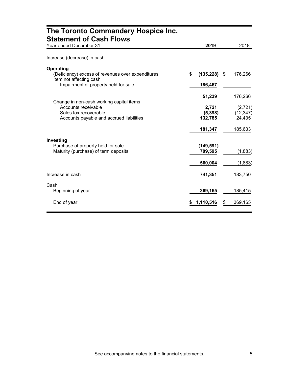| The Toronto Commandery Hospice Inc.<br><b>Statement of Cash Flows</b>                     |                  |      |           |
|-------------------------------------------------------------------------------------------|------------------|------|-----------|
| Year ended December 31                                                                    | 2019             |      | 2018      |
| Increase (decrease) in cash                                                               |                  |      |           |
| Operating<br>(Deficiency) excess of revenues over expenditures<br>Item not affecting cash | \$<br>(135, 228) | - \$ | 176,266   |
| Impairment of property held for sale                                                      | 186,467          |      |           |
| Change in non-cash working capital items                                                  | 51,239           |      | 176,266   |
| Accounts receivable                                                                       | 2,721            |      | (2,721)   |
| Sales tax recoverable                                                                     | (5, 398)         |      | (12, 347) |
| Accounts payable and accrued liabilities                                                  | 132,785          |      | 24,435    |
|                                                                                           | 181,347          |      | 185,633   |
| Investing                                                                                 |                  |      |           |
| Purchase of property held for sale                                                        | (149, 591)       |      |           |
| Maturity (purchase) of term deposits                                                      | 709,595          |      | (1,883)   |
|                                                                                           | 560,004          |      | (1,883)   |
| Increase in cash                                                                          | 741,351          |      | 183,750   |
| Cash                                                                                      |                  |      |           |
| Beginning of year                                                                         | 369,165          |      | 185,415   |
| End of year                                                                               | 1,110,516        | \$   | 369,165   |

#### See accompanying notes to the financial statements.  $\qquad \qquad 5$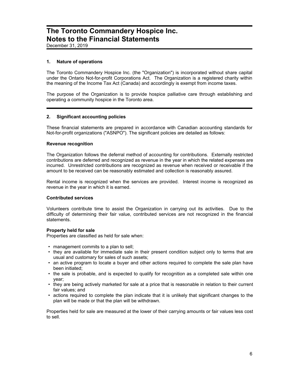December 31, 2019

#### **1. Nature of operations**

The Toronto Commandery Hospice Inc. (the "Organization") is incorporated without share capital under the Ontario Not-for-profit Corporations Act. The Organization is a registered charity within the meaning of the Income Tax Act (Canada) and accordingly is exempt from income taxes.

The purpose of the Organization is to provide hospice palliative care through establishing and operating a community hospice in the Toronto area.

#### **2. Significant accounting policies**

These financial statements are prepared in accordance with Canadian accounting standards for Not-for-profit organizations ("ASNPO"). The significant policies are detailed as follows:

#### **Revenue recognition**

The Organization follows the deferral method of accounting for contributions. Externally restricted contributions are deferred and recognized as revenue in the year in which the related expenses are incurred. Unrestricted contributions are recognized as revenue when received or receivable if the amount to be received can be reasonably estimated and collection is reasonably assured.

Rental income is recognized when the services are provided. Interest income is recognized as revenue in the year in which it is earned.

#### **Contributed services**

Volunteers contribute time to assist the Organization in carrying out its activities. Due to the difficulty of determining their fair value, contributed services are not recognized in the financial statements.

#### **Property held for sale**

Properties are classified as held for sale when:

- management commits to a plan to sell;
- they are available for immediate sale in their present condition subject only to terms that are usual and customary for sales of such assets;
- an active program to locate a buyer and other actions required to complete the sale plan have been initiated;
- the sale is probable, and is expected to qualify for recognition as a completed sale within one year;
- they are being actively marketed for sale at a price that is reasonable in relation to their current fair values; and
- actions required to complete the plan indicate that it is unlikely that significant changes to the plan will be made or that the plan will be withdrawn.

Properties held for sale are measured at the lower of their carrying amounts or fair values less cost to sell.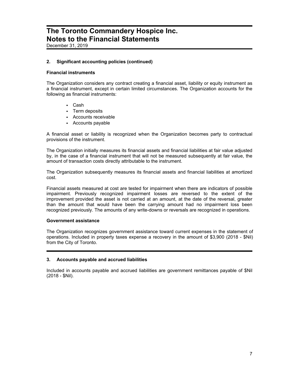December 31, 2019

#### **2. Significant accounting policies (continued)**

#### **Financial instruments**

The Organization considers any contract creating a financial asset, liability or equity instrument as a financial instrument, except in certain limited circumstances. The Organization accounts for the following as financial instruments:

- Cash
- Term deposits
- Accounts receivable
- Accounts payable

A financial asset or liability is recognized when the Organization becomes party to contractual provisions of the instrument.

The Organization initially measures its financial assets and financial liabilities at fair value adjusted by, in the case of a financial instrument that will not be measured subsequently at fair value, the amount of transaction costs directly attributable to the instrument.

The Organization subsequently measures its financial assets and financial liabilities at amortized cost.

Financial assets measured at cost are tested for impairment when there are indicators of possible impairment. Previously recognized impairment losses are reversed to the extent of the improvement provided the asset is not carried at an amount, at the date of the reversal, greater than the amount that would have been the carrying amount had no impairment loss been recognized previously. The amounts of any write-downs or reversals are recognized in operations.

#### **Government assistance**

The Organization recognizes government assistance toward current expenses in the statement of operations. Included in property taxes expense a recovery in the amount of \$3,900 (2018 - \$Nil) from the City of Toronto.

#### **3. Accounts payable and accrued liabilities**

Included in accounts payable and accrued liabilities are government remittances payable of \$Nil (2018 - \$Nil).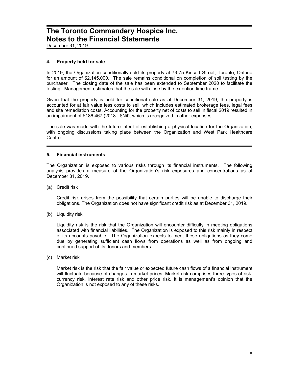December 31, 2019

#### **4. Property held for sale**

In 2019, the Organization conditionally sold its property at 73-75 Kincort Street, Toronto, Ontario for an amount of \$2,145,000. The sale remains conditional on completion of soil testing by the purchaser. The closing date of the sale has been extended to September 2020 to facilitate the testing. Management estimates that the sale will close by the extention time frame.

Given that the property is held for conditional sale as at December 31, 2019, the property is accounted for at fair value less costs to sell, which includes estimated brokerage fees, legal fees and site remediation costs. Accounting for the property net of costs to sell in fiscal 2019 resulted in an impairment of \$186,467 (2018 - \$Nil), which is recognized in other expenses.

The sale was made with the future intent of establishing a physical location for the Organization, with ongoing discussions taking place between the Organization and West Park Healthcare Centre.

#### **5. Financial instruments**

The Organization is exposed to various risks through its financial instruments. The following analysis provides a measure of the Organization's risk exposures and concentrations as at December 31, 2019.

(a) Credit risk

Credit risk arises from the possibility that certain parties will be unable to discharge their obligations. The Organization does not have significant credit risk as at December 31, 2019.

(b) Liquidity risk

Liquidity risk is the risk that the Organization will encounter difficulty in meeting obligations associated with financial liabilities. The Organization is exposed to this risk mainly in respect of its accounts payable. The Organization expects to meet these obligations as they come due by generating sufficient cash flows from operations as well as from ongoing and continued support of its donors and members.

(c) Market risk

Market risk is the risk that the fair value or expected future cash flows of a financial instrument will fluctuate because of changes in market prices. Market risk comprises three types of risk: currency risk, interest rate risk and other price risk. It is management's opinion that the Organization is not exposed to any of these risks.